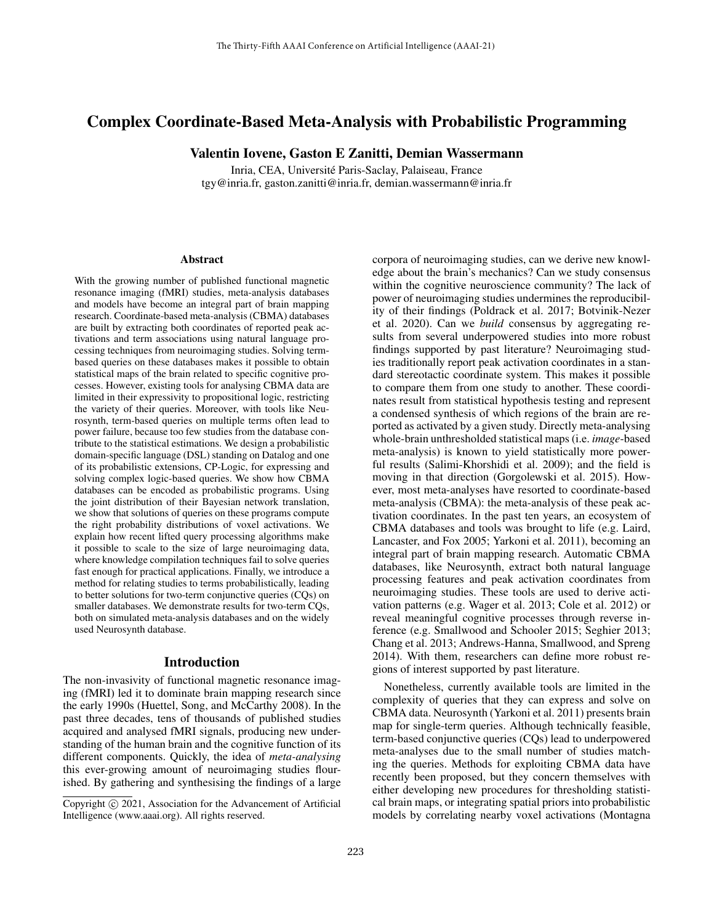# Complex Coordinate-Based Meta-Analysis with Probabilistic Programming

Valentin Iovene, Gaston E Zanitti, Demian Wassermann

Inria, CEA, Université Paris-Saclay, Palaiseau, France tgy@inria.fr, gaston.zanitti@inria.fr, demian.wassermann@inria.fr

#### **Abstract**

With the growing number of published functional magnetic resonance imaging (fMRI) studies, meta-analysis databases and models have become an integral part of brain mapping research. Coordinate-based meta-analysis (CBMA) databases are built by extracting both coordinates of reported peak activations and term associations using natural language processing techniques from neuroimaging studies. Solving termbased queries on these databases makes it possible to obtain statistical maps of the brain related to specific cognitive processes. However, existing tools for analysing CBMA data are limited in their expressivity to propositional logic, restricting the variety of their queries. Moreover, with tools like Neurosynth, term-based queries on multiple terms often lead to power failure, because too few studies from the database contribute to the statistical estimations. We design a probabilistic domain-specific language (DSL) standing on Datalog and one of its probabilistic extensions, CP-Logic, for expressing and solving complex logic-based queries. We show how CBMA databases can be encoded as probabilistic programs. Using the joint distribution of their Bayesian network translation, we show that solutions of queries on these programs compute the right probability distributions of voxel activations. We explain how recent lifted query processing algorithms make it possible to scale to the size of large neuroimaging data, where knowledge compilation techniques fail to solve queries fast enough for practical applications. Finally, we introduce a method for relating studies to terms probabilistically, leading to better solutions for two-term conjunctive queries (CQs) on smaller databases. We demonstrate results for two-term CQs, both on simulated meta-analysis databases and on the widely used Neurosynth database.

#### Introduction

The non-invasivity of functional magnetic resonance imaging (fMRI) led it to dominate brain mapping research since the early 1990s (Huettel, Song, and McCarthy 2008). In the past three decades, tens of thousands of published studies acquired and analysed fMRI signals, producing new understanding of the human brain and the cognitive function of its different components. Quickly, the idea of *meta-analysing* this ever-growing amount of neuroimaging studies flourished. By gathering and synthesising the findings of a large

corpora of neuroimaging studies, can we derive new knowledge about the brain's mechanics? Can we study consensus within the cognitive neuroscience community? The lack of power of neuroimaging studies undermines the reproducibility of their findings (Poldrack et al. 2017; Botvinik-Nezer et al. 2020). Can we *build* consensus by aggregating results from several underpowered studies into more robust findings supported by past literature? Neuroimaging studies traditionally report peak activation coordinates in a standard stereotactic coordinate system. This makes it possible to compare them from one study to another. These coordinates result from statistical hypothesis testing and represent a condensed synthesis of which regions of the brain are reported as activated by a given study. Directly meta-analysing whole-brain unthresholded statistical maps (i.e. *image*-based meta-analysis) is known to yield statistically more powerful results (Salimi-Khorshidi et al. 2009); and the field is moving in that direction (Gorgolewski et al. 2015). However, most meta-analyses have resorted to coordinate-based meta-analysis (CBMA): the meta-analysis of these peak activation coordinates. In the past ten years, an ecosystem of CBMA databases and tools was brought to life (e.g. Laird, Lancaster, and Fox 2005; Yarkoni et al. 2011), becoming an integral part of brain mapping research. Automatic CBMA databases, like Neurosynth, extract both natural language processing features and peak activation coordinates from neuroimaging studies. These tools are used to derive activation patterns (e.g. Wager et al. 2013; Cole et al. 2012) or reveal meaningful cognitive processes through reverse inference (e.g. Smallwood and Schooler 2015; Seghier 2013; Chang et al. 2013; Andrews-Hanna, Smallwood, and Spreng 2014). With them, researchers can define more robust regions of interest supported by past literature.

Nonetheless, currently available tools are limited in the complexity of queries that they can express and solve on CBMA data. Neurosynth (Yarkoni et al. 2011) presents brain map for single-term queries. Although technically feasible, term-based conjunctive queries (CQs) lead to underpowered meta-analyses due to the small number of studies matching the queries. Methods for exploiting CBMA data have recently been proposed, but they concern themselves with either developing new procedures for thresholding statistical brain maps, or integrating spatial priors into probabilistic models by correlating nearby voxel activations (Montagna

Copyright © 2021, Association for the Advancement of Artificial Intelligence (www.aaai.org). All rights reserved.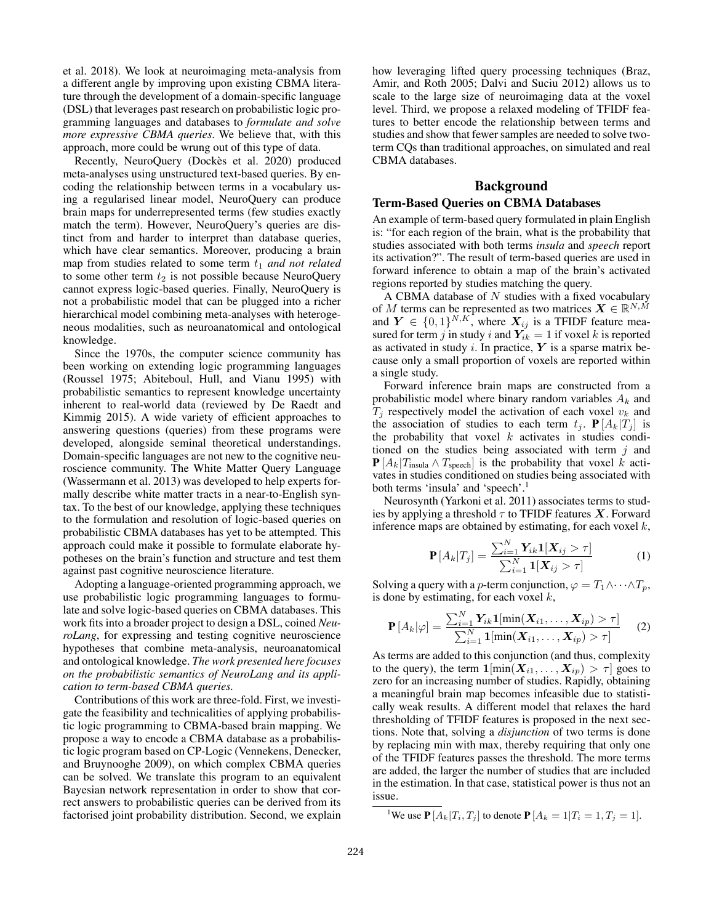et al. 2018). We look at neuroimaging meta-analysis from a different angle by improving upon existing CBMA literature through the development of a domain-specific language (DSL) that leverages past research on probabilistic logic programming languages and databases to *formulate and solve more expressive CBMA queries*. We believe that, with this approach, more could be wrung out of this type of data.

Recently, NeuroQuery (Dockès et al. 2020) produced meta-analyses using unstructured text-based queries. By encoding the relationship between terms in a vocabulary using a regularised linear model, NeuroQuery can produce brain maps for underrepresented terms (few studies exactly match the term). However, NeuroQuery's queries are distinct from and harder to interpret than database queries, which have clear semantics. Moreover, producing a brain map from studies related to some term  $t_1$  *and not related* to some other term  $t_2$  is not possible because NeuroQuery cannot express logic-based queries. Finally, NeuroQuery is not a probabilistic model that can be plugged into a richer hierarchical model combining meta-analyses with heterogeneous modalities, such as neuroanatomical and ontological knowledge.

Since the 1970s, the computer science community has been working on extending logic programming languages (Roussel 1975; Abiteboul, Hull, and Vianu 1995) with probabilistic semantics to represent knowledge uncertainty inherent to real-world data (reviewed by De Raedt and Kimmig 2015). A wide variety of efficient approaches to answering questions (queries) from these programs were developed, alongside seminal theoretical understandings. Domain-specific languages are not new to the cognitive neuroscience community. The White Matter Query Language (Wassermann et al. 2013) was developed to help experts formally describe white matter tracts in a near-to-English syntax. To the best of our knowledge, applying these techniques to the formulation and resolution of logic-based queries on probabilistic CBMA databases has yet to be attempted. This approach could make it possible to formulate elaborate hypotheses on the brain's function and structure and test them against past cognitive neuroscience literature.

Adopting a language-oriented programming approach, we use probabilistic logic programming languages to formulate and solve logic-based queries on CBMA databases. This work fits into a broader project to design a DSL, coined *NeuroLang*, for expressing and testing cognitive neuroscience hypotheses that combine meta-analysis, neuroanatomical and ontological knowledge. *The work presented here focuses on the probabilistic semantics of NeuroLang and its application to term-based CBMA queries.*

Contributions of this work are three-fold. First, we investigate the feasibility and technicalities of applying probabilistic logic programming to CBMA-based brain mapping. We propose a way to encode a CBMA database as a probabilistic logic program based on CP-Logic (Vennekens, Denecker, and Bruynooghe 2009), on which complex CBMA queries can be solved. We translate this program to an equivalent Bayesian network representation in order to show that correct answers to probabilistic queries can be derived from its factorised joint probability distribution. Second, we explain how leveraging lifted query processing techniques (Braz, Amir, and Roth 2005; Dalvi and Suciu 2012) allows us to scale to the large size of neuroimaging data at the voxel level. Third, we propose a relaxed modeling of TFIDF features to better encode the relationship between terms and studies and show that fewer samples are needed to solve twoterm CQs than traditional approaches, on simulated and real CBMA databases.

# Background

## Term-Based Queries on CBMA Databases

An example of term-based query formulated in plain English is: "for each region of the brain, what is the probability that studies associated with both terms *insula* and *speech* report its activation?". The result of term-based queries are used in forward inference to obtain a map of the brain's activated regions reported by studies matching the query.

A CBMA database of  $N$  studies with a fixed vocabulary of M terms can be represented as two matrices  $\boldsymbol{X} \in \mathbb{R}^{N,\tilde{M}}$ and  $Y \in \{0,1\}^{N,K}$ , where  $X_{ij}$  is a TFIDF feature measured for term j in study i and  $Y_{ik} = 1$  if voxel k is reported as activated in study i. In practice,  $Y$  is a sparse matrix because only a small proportion of voxels are reported within a single study.

Forward inference brain maps are constructed from a probabilistic model where binary random variables  $A_k$  and  $T_i$  respectively model the activation of each voxel  $v_k$  and the association of studies to each term  $t_i$ .  $\mathbf{P}[A_k|T_i]$  is the probability that voxel  $k$  activates in studies conditioned on the studies being associated with term  $j$  and  ${\bf P}[A_k|T_{\rm insula} \wedge T_{\rm speech}]$  is the probability that voxel k activates in studies conditioned on studies being associated with both terms 'insula' and 'speech'.<sup>1</sup>

Neurosynth (Yarkoni et al. 2011) associates terms to studies by applying a threshold  $\tau$  to TFIDF features X. Forward inference maps are obtained by estimating, for each voxel  $k$ ,

$$
\mathbf{P}[A_k|T_j] = \frac{\sum_{i=1}^{N} Y_{ik} \mathbf{1}[X_{ij} > \tau]}{\sum_{i=1}^{N} \mathbf{1}[X_{ij} > \tau]}
$$
(1)

Solving a query with a p-term conjunction,  $\varphi = T_1 \wedge \cdots \wedge T_n$ , is done by estimating, for each voxel  $k$ ,

$$
\mathbf{P}\left[A_k|\varphi\right] = \frac{\sum_{i=1}^{N} Y_{ik}\mathbf{1}[\min(X_{i1},...,X_{ip}) > \tau]}{\sum_{i=1}^{N} \mathbf{1}[\min(X_{i1},...,X_{ip}) > \tau]} \tag{2}
$$

As terms are added to this conjunction (and thus, complexity to the query), the term  $1[\min(X_{i1},...,X_{ip}) > \tau]$  goes to zero for an increasing number of studies. Rapidly, obtaining a meaningful brain map becomes infeasible due to statistically weak results. A different model that relaxes the hard thresholding of TFIDF features is proposed in the next sections. Note that, solving a *disjunction* of two terms is done by replacing min with max, thereby requiring that only one of the TFIDF features passes the threshold. The more terms are added, the larger the number of studies that are included in the estimation. In that case, statistical power is thus not an issue.

<sup>&</sup>lt;sup>1</sup>We use  $P[A_k|T_i, T_j]$  to denote  $P[A_k = 1|T_i = 1, T_j = 1]$ .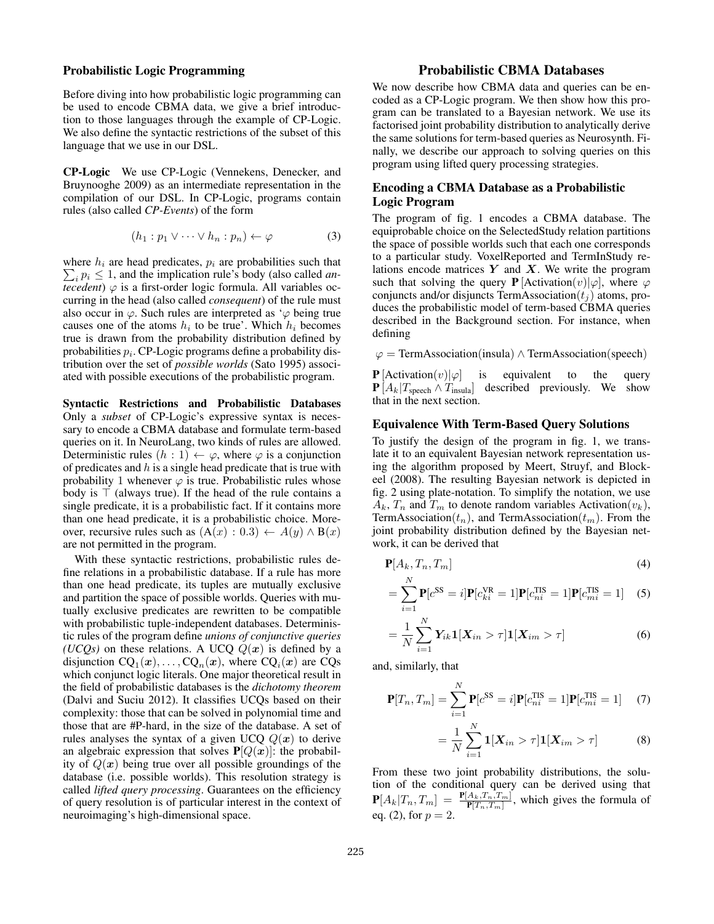#### Probabilistic Logic Programming

Before diving into how probabilistic logic programming can be used to encode CBMA data, we give a brief introduction to those languages through the example of CP-Logic. We also define the syntactic restrictions of the subset of this language that we use in our DSL.

CP-Logic We use CP-Logic (Vennekens, Denecker, and Bruynooghe 2009) as an intermediate representation in the compilation of our DSL. In CP-Logic, programs contain rules (also called *CP-Events*) of the form

$$
(h_1: p_1 \vee \cdots \vee h_n: p_n) \leftarrow \varphi \tag{3}
$$

 $\sum_i p_i \leq 1$ , and the implication rule's body (also called *an*where  $h_i$  are head predicates,  $p_i$  are probabilities such that *tecedent*)  $\varphi$  is a first-order logic formula. All variables occurring in the head (also called *consequent*) of the rule must also occur in  $\varphi$ . Such rules are interpreted as  $\varphi$  being true causes one of the atoms  $h_i$  to be true'. Which  $h_i$  becomes true is drawn from the probability distribution defined by probabilities  $p_i$ . CP-Logic programs define a probability distribution over the set of *possible worlds* (Sato 1995) associated with possible executions of the probabilistic program.

Syntactic Restrictions and Probabilistic Databases Only a *subset* of CP-Logic's expressive syntax is necessary to encode a CBMA database and formulate term-based queries on it. In NeuroLang, two kinds of rules are allowed. Deterministic rules  $(h: 1) \leftarrow \varphi$ , where  $\varphi$  is a conjunction of predicates and  $h$  is a single head predicate that is true with probability 1 whenever  $\varphi$  is true. Probabilistic rules whose body is  $\top$  (always true). If the head of the rule contains a single predicate, it is a probabilistic fact. If it contains more than one head predicate, it is a probabilistic choice. Moreover, recursive rules such as  $(A(x): 0.3) \leftarrow A(y) \wedge B(x)$ are not permitted in the program.

With these syntactic restrictions, probabilistic rules define relations in a probabilistic database. If a rule has more than one head predicate, its tuples are mutually exclusive and partition the space of possible worlds. Queries with mutually exclusive predicates are rewritten to be compatible with probabilistic tuple-independent databases. Deterministic rules of the program define *unions of conjunctive queries (UCQs)* on these relations. A UCQ  $Q(x)$  is defined by a disjunction  $\text{CQ}_1(\bm{x}), \ldots, \text{CQ}_n(\bm{x})$ , where  $\text{CQ}_i(\bm{x})$  are  $\text{CQs}$ which conjunct logic literals. One major theoretical result in the field of probabilistic databases is the *dichotomy theorem* (Dalvi and Suciu 2012). It classifies UCQs based on their complexity: those that can be solved in polynomial time and those that are #P-hard, in the size of the database. A set of rules analyses the syntax of a given UCQ  $Q(x)$  to derive an algebraic expression that solves  $P[Q(x)]$ : the probability of  $Q(x)$  being true over all possible groundings of the database (i.e. possible worlds). This resolution strategy is called *lifted query processing*. Guarantees on the efficiency of query resolution is of particular interest in the context of neuroimaging's high-dimensional space.

# Probabilistic CBMA Databases

We now describe how CBMA data and queries can be encoded as a CP-Logic program. We then show how this program can be translated to a Bayesian network. We use its factorised joint probability distribution to analytically derive the same solutions for term-based queries as Neurosynth. Finally, we describe our approach to solving queries on this program using lifted query processing strategies.

## Encoding a CBMA Database as a Probabilistic Logic Program

The program of fig. 1 encodes a CBMA database. The equiprobable choice on the SelectedStudy relation partitions the space of possible worlds such that each one corresponds to a particular study. VoxelReported and TermInStudy relations encode matrices  $Y$  and  $X$ . We write the program such that solving the query **P**  $[Activity (a) | \varphi]$ , where  $\varphi$ conjuncts and/or disjuncts TermAssociation $(t<sub>i</sub>)$  atoms, produces the probabilistic model of term-based CBMA queries described in the Background section. For instance, when defining

 $\varphi$  = TermAssociation(insula)  $\wedge$  TermAssociation(speech)

**P** [Activation $(v)|\varphi|$  is equivalent to the query  $P[A_k|T_{\text{speech}} \wedge T_{\text{insula}}]$  described previously. We show that in the next section.

#### Equivalence With Term-Based Query Solutions

To justify the design of the program in fig. 1, we translate it to an equivalent Bayesian network representation using the algorithm proposed by Meert, Struyf, and Blockeel (2008). The resulting Bayesian network is depicted in fig. 2 using plate-notation. To simplify the notation, we use  $A_k$ ,  $T_n$  and  $T_m$  to denote random variables Activation $(v_k)$ , TermAssociation( $t_n$ ), and TermAssociation( $t_m$ ). From the joint probability distribution defined by the Bayesian network, it can be derived that

$$
\mathbf{P}[A_k, T_n, T_m] \tag{4}
$$

$$
= \sum_{i=1}^{N} \mathbf{P}[c^{\text{SS}} = i] \mathbf{P}[c_{ki}^{\text{VR}} = 1] \mathbf{P}[c_{ni}^{\text{TLS}} = 1] \mathbf{P}[c_{mi}^{\text{TLS}} = 1] \quad (5)
$$

$$
= \frac{1}{N} \sum_{i=1}^{N} Y_{ik} \mathbf{1}[X_{in} > \tau] \mathbf{1}[X_{im} > \tau]
$$
 (6)

and, similarly, that

$$
\mathbf{P}[T_n, T_m] = \sum_{i=1}^{N} \mathbf{P}[c^{\text{SS}} = i] \mathbf{P}[c^{\text{TS}}_{ni} = 1] \mathbf{P}[c^{\text{TS}}_{mi} = 1] \tag{7}
$$

$$
= \frac{1}{N} \sum_{i=1}^{N} \mathbf{1}[X_{in} > \tau] \mathbf{1}[X_{im} > \tau]
$$
 (8)

From these two joint probability distributions, the solution of the conditional query can be derived using that  $\mathbf{P}[A_k|T_n, T_m] = \frac{\mathbf{P}[A_k, T_n, T_m]}{\mathbf{P}[T_n, T_m]}$ , which gives the formula of eq. (2), for  $p = 2$ .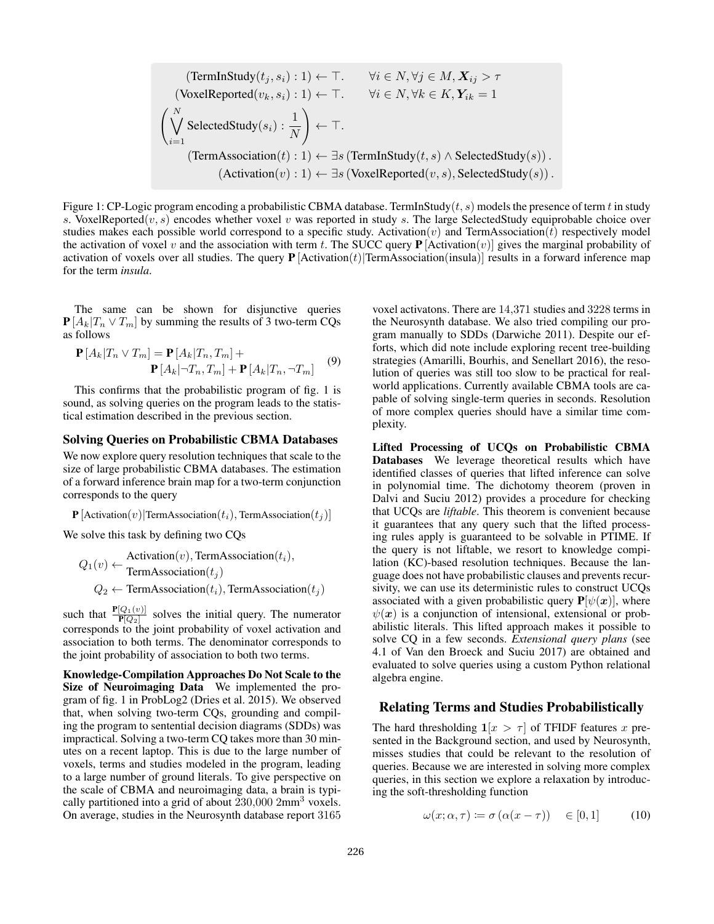(TermInStudy(
$$
t_j, s_i
$$
) : 1) ← T.  $\forall i \in N, \forall j \in M, X_{ij} > \tau$   
\n(VoxelReported( $v_k, s_i$ ) : 1) ← T.  $\forall i \in N, \forall k \in K, Y_{ik} = 1$   
\n
$$
\left(\bigvee_{i=1}^{N} \text{SelectedStudy}(s_i) : \frac{1}{N}\right) \leftarrow \top.
$$
\n(TermAssociation( $t$ ) : 1) ←  $\exists s$  (TermInStudy( $t, s$ ) ∧ SelectedStudy( $s$ )).  
\n(Activation( $v$ ) : 1) ←  $\exists s$  (VoxelReported( $v, s$ ), SelectedStudy( $s$ )).

Figure 1: CP-Logic program encoding a probabilistic CBMA database. TermInStudy( $t, s$ ) models the presence of term t in study s. VoxelReported $(v, s)$  encodes whether voxel v was reported in study s. The large SelectedStudy equiprobable choice over studies makes each possible world correspond to a specific study. Activation(v) and TermAssociation(t) respectively model the activation of voxel v and the association with term t. The SUCC query  $P$  [Activation(v)] gives the marginal probability of activation of voxels over all studies. The query  $P$  [Activation(t)] TermAssociation(insula)] results in a forward inference map for the term *insula*.

The same can be shown for disjunctive queries  ${\bf P}[A_k|T_n \vee T_m]$  by summing the results of 3 two-term CQs as follows

$$
\mathbf{P}[A_k|T_n \vee T_m] = \mathbf{P}[A_k|T_n, T_m] +
$$

$$
\mathbf{P}[A_k|\neg T_n, T_m] + \mathbf{P}[A_k|T_n, \neg T_m]
$$
(9)

This confirms that the probabilistic program of fig. 1 is sound, as solving queries on the program leads to the statistical estimation described in the previous section.

#### Solving Queries on Probabilistic CBMA Databases

We now explore query resolution techniques that scale to the size of large probabilistic CBMA databases. The estimation of a forward inference brain map for a two-term conjunction corresponds to the query

**P** [Activation(v)|TermAssociation(t<sub>i</sub>), TermAssociation(t<sub>i</sub>)]

We solve this task by defining two CQs

$$
Q_1(v) \leftarrow \begin{matrix} \text{Activation}(v), \text{TermAssociation}(t_i),\\ \text{TermAssociation}(t_j) \end{matrix}
$$
  

$$
Q_2 \leftarrow \text{TermAssociation}(t_i), \text{TermAssociation}(t_j)
$$

such that  $\frac{\mathbf{P}[Q_1(v)]}{\mathbf{P}[Q_2]}$  solves the initial query. The numerator corresponds to the joint probability of voxel activation and association to both terms. The denominator corresponds to the joint probability of association to both two terms.

Knowledge-Compilation Approaches Do Not Scale to the Size of Neuroimaging Data We implemented the program of fig. 1 in ProbLog2 (Dries et al. 2015). We observed that, when solving two-term CQs, grounding and compiling the program to sentential decision diagrams (SDDs) was impractical. Solving a two-term CQ takes more than 30 minutes on a recent laptop. This is due to the large number of voxels, terms and studies modeled in the program, leading to a large number of ground literals. To give perspective on the scale of CBMA and neuroimaging data, a brain is typically partitioned into a grid of about  $230,000$  2mm<sup>3</sup> voxels. On average, studies in the Neurosynth database report 3165

voxel activatons. There are 14,371 studies and 3228 terms in the Neurosynth database. We also tried compiling our program manually to SDDs (Darwiche 2011). Despite our efforts, which did note include exploring recent tree-building strategies (Amarilli, Bourhis, and Senellart 2016), the resolution of queries was still too slow to be practical for realworld applications. Currently available CBMA tools are capable of solving single-term queries in seconds. Resolution of more complex queries should have a similar time complexity.

Lifted Processing of UCQs on Probabilistic CBMA Databases We leverage theoretical results which have identified classes of queries that lifted inference can solve in polynomial time. The dichotomy theorem (proven in Dalvi and Suciu 2012) provides a procedure for checking that UCQs are *liftable*. This theorem is convenient because it guarantees that any query such that the lifted processing rules apply is guaranteed to be solvable in PTIME. If the query is not liftable, we resort to knowledge compilation (KC)-based resolution techniques. Because the language does not have probabilistic clauses and prevents recursivity, we can use its deterministic rules to construct UCQs associated with a given probabilistic query  $P[\psi(x)]$ , where  $\psi(x)$  is a conjunction of intensional, extensional or probabilistic literals. This lifted approach makes it possible to solve CQ in a few seconds. *Extensional query plans* (see 4.1 of Van den Broeck and Suciu 2017) are obtained and evaluated to solve queries using a custom Python relational algebra engine.

#### Relating Terms and Studies Probabilistically

The hard thresholding  $1/x > \tau$  of TFIDF features x presented in the Background section, and used by Neurosynth, misses studies that could be relevant to the resolution of queries. Because we are interested in solving more complex queries, in this section we explore a relaxation by introducing the soft-thresholding function

$$
\omega(x; \alpha, \tau) \coloneqq \sigma\left(\alpha(x - \tau)\right) \quad \in [0, 1] \tag{10}
$$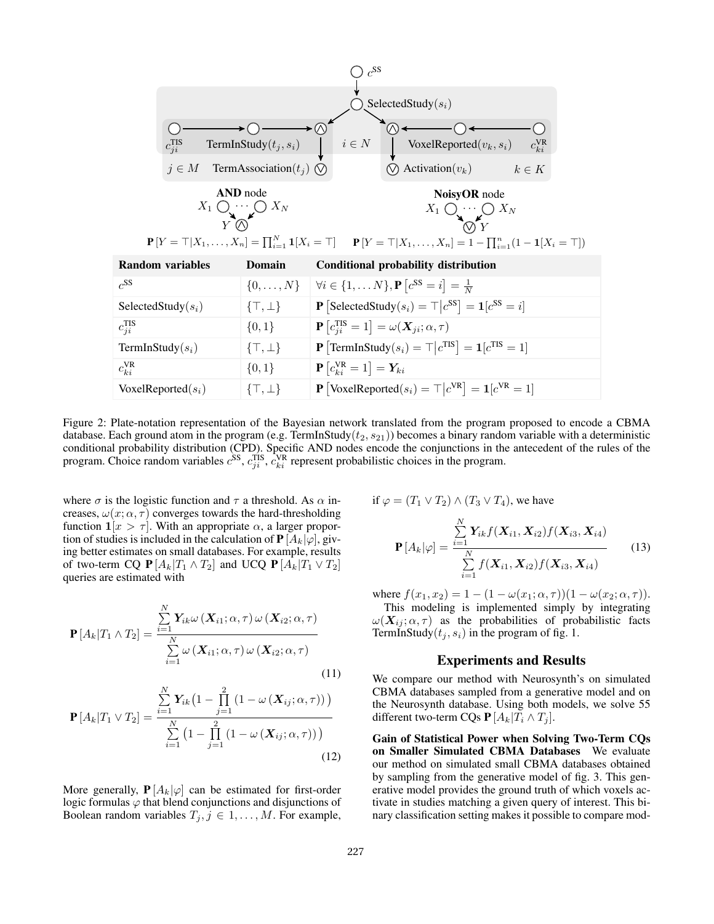| Q                                                        | Q                                                                  |                                                              |                                                 |               |
|----------------------------------------------------------|--------------------------------------------------------------------|--------------------------------------------------------------|-------------------------------------------------|---------------|
| $c_{ji}^{TIS}$                                           | TermInStudy(t <sub>j</sub> , s <sub>i</sub> )                      | $i \in N$                                                    | VoxelReported(v <sub>k</sub> , s <sub>i</sub> ) | $c_{ki}^{VR}$ |
| $j \in M$                                                | TermAsociation(t <sub>j</sub> )                                    | $i \in N$                                                    | VoxelReported(v <sub>k</sub> , s <sub>i</sub> ) | $c_{ki}^{VR}$ |
| $X_1 \cup \cdots \cup X_N$                               | $X_N$                                                              | $X_1 \cup \cdots \cup X_N$                                   |                                                 |               |
| $P[Y = T   X_1, \ldots, X_n] = \prod_{i=1}^N 1[X_i = T]$ | $P[Y = T   X_1, \ldots, X_n] = 1 - \prod_{i=1}^n (1 - 1[X_i = T])$ |                                                              |                                                 |               |
| Random variables                                         | Domain                                                             | Conditional probability distribution                         |                                                 |               |
| $c_{i}^{SS}$                                             | $\{0, \ldots, N\}$                                                 | $\forall i \in \{1, \ldots N\}, P[c^{SS} = i] = \frac{1}{N}$ |                                                 |               |
| SelectedStudy(s <sub>i</sub> )                           | $\{T, \perp\}$                                                     | $P$ [SelectedStudy(s <sub>i</sub> ) = $T   c^{SS} = i$ ]     |                                                 |               |
| $c_{ji}^{TS}$                                            | $\{0, 1\}$                                                         | $P [c_{ji}^{TS} = 1] = \omega(X_{ji}; \alpha, \tau)$         |                                                 |               |
| TermInStudy(s <sub>i</sub> )                             | $\{T, \perp\}$                                                     | $P$ [TermInStudy(s <sub>i</sub> ) = $T   c^{TS} = 1$ ]       |                                                 |               |
| $c_{ki}^{VR}$                                            | $\{0, 1\}$                                                         | $P [c_{ki}^{VR} = 1] = Y_{ki}$                               |                                                 |               |

Figure 2: Plate-notation representation of the Bayesian network translated from the program proposed to encode a CBMA database. Each ground atom in the program (e.g. TermInStudy( $t_2$ ,  $s_{21}$ )) becomes a binary random variable with a deterministic conditional probability distribution (CPD). Specific AND nodes encode the conjunctions in the antecedent of the rules of the program. Choice random variables  $c^{SS}$ ,  $c^{TIS}_{ji}$ ,  $c^{VR}_{ki}$  represent probabilistic choices in the program.

[VoxelReported( $s_i$ ) =  $\top | c^{\text{VR}}$ ] =  $\mathbf{1} [c^{\text{VR}} = 1]$ 

where  $\sigma$  is the logistic function and  $\tau$  a threshold. As  $\alpha$  increases,  $\omega(x; \alpha, \tau)$  converges towards the hard-thresholding function  $1/x > \tau$ . With an appropriate  $\alpha$ , a larger proportion of studies is included in the calculation of  $P[A_k|\varphi]$ , giving better estimates on small databases. For example, results of two-term CQ  $P[A_k|T_1 \wedge T_2]$  and UCQ  $P[A_k|T_1 \vee T_2]$ queries are estimated with

VoxelReported $(s_i)$   $\{\top, \bot\}$ 

$$
\mathbf{P}[A_k|T_1 \wedge T_2] = \frac{\sum_{i=1}^N \mathbf{Y}_{ik}\omega\left(\mathbf{X}_{i1}; \alpha, \tau\right)\omega\left(\mathbf{X}_{i2}; \alpha, \tau\right)}{\sum_{i=1}^N \omega\left(\mathbf{X}_{i1}; \alpha, \tau\right)\omega\left(\mathbf{X}_{i2}; \alpha, \tau\right)}
$$
\n(11)

$$
\mathbf{P}\left[A_k|T_1 \vee T_2\right] = \frac{\sum_{i=1}^{N} \mathbf{Y}_{ik} \left(1 - \prod_{j=1}^{2} \left(1 - \omega\left(\mathbf{X}_{ij}; \alpha, \tau\right)\right)\right)}{\sum_{i=1}^{N} \left(1 - \prod_{j=1}^{2} \left(1 - \omega\left(\mathbf{X}_{ij}; \alpha, \tau\right)\right)\right)}
$$
(12)

More generally,  $P[A_k|\varphi]$  can be estimated for first-order logic formulas  $\varphi$  that blend conjunctions and disjunctions of Boolean random variables  $T_j$ ,  $j \in 1, \ldots, M$ . For example,

if 
$$
\varphi = (T_1 \vee T_2) \wedge (T_3 \vee T_4)
$$
, we have  
\n
$$
\sum_{i=1}^{N} Y_{ik} f(X_{i1}, X_{i2}) f(X_{i3}, X_{i4})
$$
\n
$$
P[A_k | \varphi] = \frac{\sum_{i=1}^{N} Y_{ik} f(X_{i1}, X_{i2}) f(X_{i3}, X_{i4})}{\sum_{i=1}^{N} f(X_{i1}, X_{i2}) f(X_{i3}, X_{i4})}
$$
\n(13)

where  $f(x_1, x_2) = 1 - (1 - \omega(x_1; \alpha, \tau))(1 - \omega(x_2; \alpha, \tau)).$ This modeling is implemented simply by integrating  $\omega(\mathbf{X}_{ij}; \alpha, \tau)$  as the probabilities of probabilistic facts TermInStudy( $t_j, s_i$ ) in the program of fig. 1.

### Experiments and Results

We compare our method with Neurosynth's on simulated CBMA databases sampled from a generative model and on the Neurosynth database. Using both models, we solve 55 different two-term CQs  $P[A_k|T_i \wedge T_j]$ .

Gain of Statistical Power when Solving Two-Term CQs on Smaller Simulated CBMA Databases We evaluate our method on simulated small CBMA databases obtained by sampling from the generative model of fig. 3. This generative model provides the ground truth of which voxels activate in studies matching a given query of interest. This binary classification setting makes it possible to compare mod-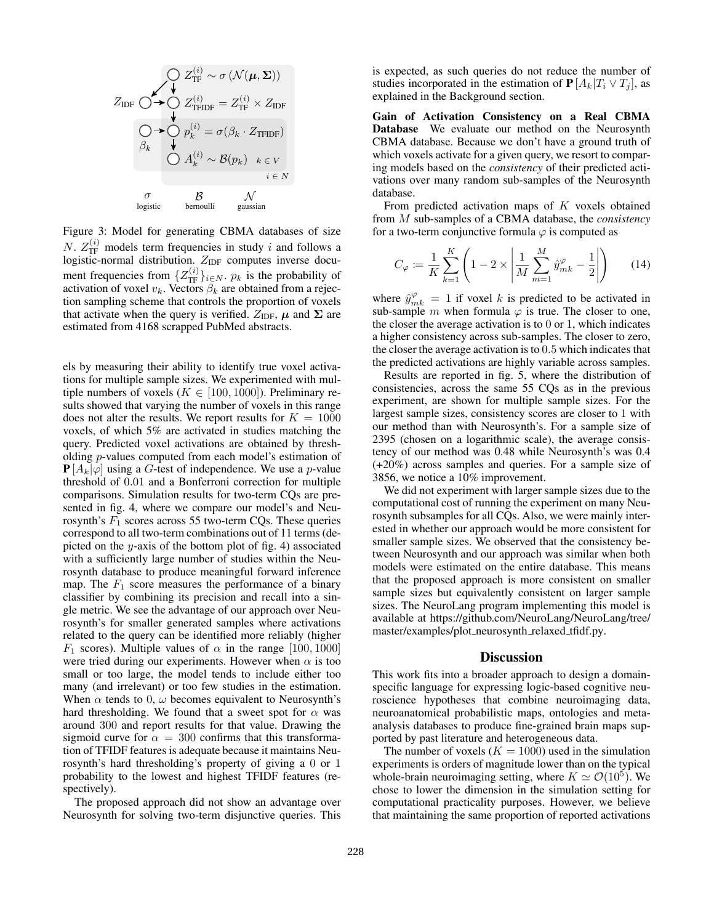$$
Z_{\text{IDF}} \bigcirc Z_{\text{TF}}^{(i)} \sim \sigma \left( \mathcal{N}(\mu, \Sigma) \right)
$$
\n
$$
Z_{\text{IDF}} \bigcirc \blacktriangleright Q_{\text{TFIDF}}^{(i)} = Z_{\text{TF}}^{(i)} \times Z_{\text{IDF}}
$$
\n
$$
\bigcirc \blacktriangleright Q_{k} \qquad \downarrow \qquad Q_{k} \cdot Z_{\text{TFIDF}}
$$
\n
$$
\bigcirc A_{k}^{(i)} \sim \mathcal{B}(p_{k}) \quad k \in V
$$
\n
$$
\bigcirc \sigma_{\text{logistic}} \qquad \qquad \downarrow \qquad \qquad \downarrow \qquad \qquad \downarrow
$$
\n
$$
\bigcirc \qquad \qquad \downarrow \qquad \qquad \downarrow
$$
\n
$$
\text{logistic} \qquad \qquad \text{bernulli} \qquad \qquad \text{gaussian}
$$

Figure 3: Model for generating CBMA databases of size N.  $Z_{\text{TF}}^{(i)}$  models term frequencies in study i and follows a logistic-normal distribution.  $Z_{IDF}$  computes inverse document frequencies from  $\{Z_{\text{TF}}^{(i)}\}_{i\in N}$ .  $p_k$  is the probability of activation of voxel  $v_k$ . Vectors  $\beta_k$  are obtained from a rejection sampling scheme that controls the proportion of voxels that activate when the query is verified.  $Z_{\text{IDF}}$ ,  $\mu$  and  $\Sigma$  are estimated from 4168 scrapped PubMed abstracts.

els by measuring their ability to identify true voxel activations for multiple sample sizes. We experimented with multiple numbers of voxels ( $K \in [100, 1000]$ ). Preliminary results showed that varying the number of voxels in this range does not alter the results. We report results for  $K = 1000$ voxels, of which 5% are activated in studies matching the query. Predicted voxel activations are obtained by thresholding p-values computed from each model's estimation of  $P[A_k|\varphi]$  using a G-test of independence. We use a p-value threshold of 0.01 and a Bonferroni correction for multiple comparisons. Simulation results for two-term CQs are presented in fig. 4, where we compare our model's and Neurosynth's  $F_1$  scores across 55 two-term CQs. These queries correspond to all two-term combinations out of 11 terms (depicted on the y-axis of the bottom plot of fig. 4) associated with a sufficiently large number of studies within the Neurosynth database to produce meaningful forward inference map. The  $F_1$  score measures the performance of a binary classifier by combining its precision and recall into a single metric. We see the advantage of our approach over Neurosynth's for smaller generated samples where activations related to the query can be identified more reliably (higher  $F_1$  scores). Multiple values of  $\alpha$  in the range [100, 1000] were tried during our experiments. However when  $\alpha$  is too small or too large, the model tends to include either too many (and irrelevant) or too few studies in the estimation. When  $\alpha$  tends to 0,  $\omega$  becomes equivalent to Neurosynth's hard thresholding. We found that a sweet spot for  $\alpha$  was around 300 and report results for that value. Drawing the sigmoid curve for  $\alpha = 300$  confirms that this transformation of TFIDF features is adequate because it maintains Neurosynth's hard thresholding's property of giving a 0 or 1 probability to the lowest and highest TFIDF features (respectively).

The proposed approach did not show an advantage over Neurosynth for solving two-term disjunctive queries. This

is expected, as such queries do not reduce the number of studies incorporated in the estimation of  $P[A_k|T_i \vee T_i]$ , as explained in the Background section.

Gain of Activation Consistency on a Real CBMA Database We evaluate our method on the Neurosynth CBMA database. Because we don't have a ground truth of which voxels activate for a given query, we resort to comparing models based on the *consistency* of their predicted activations over many random sub-samples of the Neurosynth database.

From predicted activation maps of K voxels obtained from M sub-samples of a CBMA database, the *consistency* for a two-term conjunctive formula  $\varphi$  is computed as

$$
C_{\varphi} := \frac{1}{K} \sum_{k=1}^{K} \left( 1 - 2 \times \left| \frac{1}{M} \sum_{m=1}^{M} \hat{y}_{mk}^{\varphi} - \frac{1}{2} \right| \right) \tag{14}
$$

where  $\hat{y}_{mk}^{\varphi} = 1$  if voxel k is predicted to be activated in sub-sample m when formula  $\varphi$  is true. The closer to one, the closer the average activation is to 0 or 1, which indicates a higher consistency across sub-samples. The closer to zero, the closer the average activation is to 0.5 which indicates that the predicted activations are highly variable across samples.

Results are reported in fig. 5, where the distribution of consistencies, across the same 55 CQs as in the previous experiment, are shown for multiple sample sizes. For the largest sample sizes, consistency scores are closer to 1 with our method than with Neurosynth's. For a sample size of 2395 (chosen on a logarithmic scale), the average consistency of our method was 0.48 while Neurosynth's was 0.4 (+20%) across samples and queries. For a sample size of 3856, we notice a 10% improvement.

We did not experiment with larger sample sizes due to the computational cost of running the experiment on many Neurosynth subsamples for all CQs. Also, we were mainly interested in whether our approach would be more consistent for smaller sample sizes. We observed that the consistency between Neurosynth and our approach was similar when both models were estimated on the entire database. This means that the proposed approach is more consistent on smaller sample sizes but equivalently consistent on larger sample sizes. The NeuroLang program implementing this model is available at https://github.com/NeuroLang/NeuroLang/tree/ master/examples/plot\_neurosynth\_relaxed\_tfidf.py.

#### **Discussion**

This work fits into a broader approach to design a domainspecific language for expressing logic-based cognitive neuroscience hypotheses that combine neuroimaging data, neuroanatomical probabilistic maps, ontologies and metaanalysis databases to produce fine-grained brain maps supported by past literature and heterogeneous data.

The number of voxels  $(K = 1000)$  used in the simulation experiments is orders of magnitude lower than on the typical whole-brain neuroimaging setting, where  $K \simeq \mathcal{O}(10^5)$ . We chose to lower the dimension in the simulation setting for computational practicality purposes. However, we believe that maintaining the same proportion of reported activations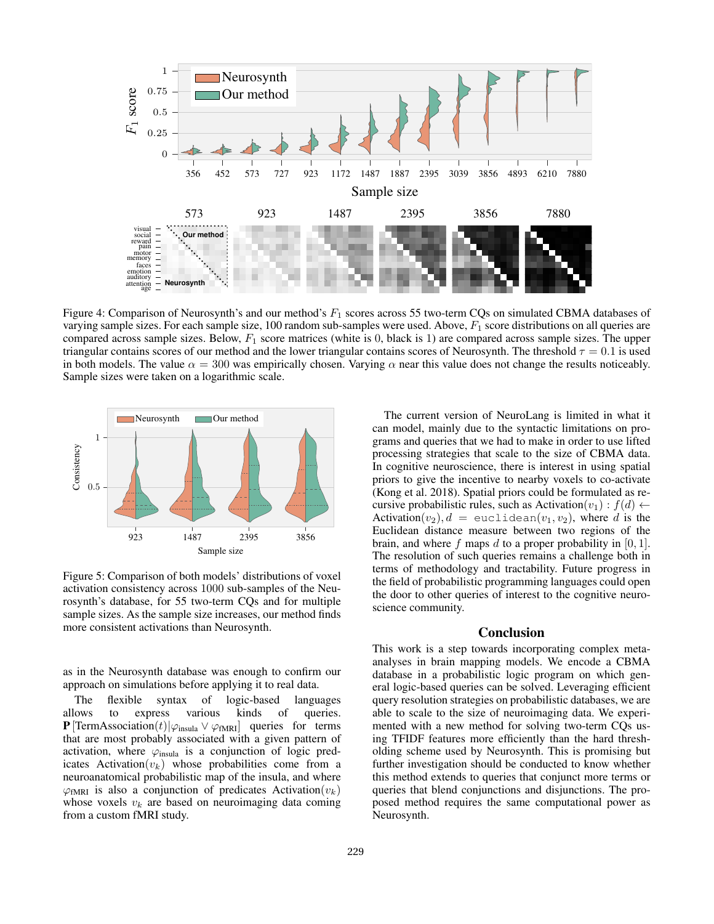

Figure 4: Comparison of Neurosynth's and our method's  $F_1$  scores across 55 two-term CQs on simulated CBMA databases of varying sample sizes. For each sample size, 100 random sub-samples were used. Above,  $F_1$  score distributions on all queries are compared across sample sizes. Below,  $F_1$  score matrices (white is 0, black is 1) are compared across sample sizes. The upper triangular contains scores of our method and the lower triangular contains scores of Neurosynth. The threshold  $\tau = 0.1$  is used in both models. The value  $\alpha = 300$  was empirically chosen. Varying  $\alpha$  near this value does not change the results noticeably. Sample sizes were taken on a logarithmic scale.



Figure 5: Comparison of both models' distributions of voxel activation consistency across 1000 sub-samples of the Neurosynth's database, for 55 two-term CQs and for multiple sample sizes. As the sample size increases, our method finds more consistent activations than Neurosynth.

as in the Neurosynth database was enough to confirm our approach on simulations before applying it to real data.

The flexible syntax of logic-based languages allows to express various kinds of queries. **P** [TermAssociation(t)| $\varphi_{\text{insula}} \vee \varphi_{\text{fMRI}}$  queries for terms that are most probably associated with a given pattern of activation, where  $\varphi_{\text{insula}}$  is a conjunction of logic predicates Activation $(v_k)$  whose probabilities come from a neuroanatomical probabilistic map of the insula, and where  $\varphi_{fMRI}$  is also a conjunction of predicates Activation $(v_k)$ whose voxels  $v_k$  are based on neuroimaging data coming from a custom fMRI study.

The current version of NeuroLang is limited in what it can model, mainly due to the syntactic limitations on programs and queries that we had to make in order to use lifted processing strategies that scale to the size of CBMA data. In cognitive neuroscience, there is interest in using spatial priors to give the incentive to nearby voxels to co-activate (Kong et al. 2018). Spatial priors could be formulated as recursive probabilistic rules, such as Activation $(v_1)$ :  $f(d) \leftarrow$ Activation( $v_2$ ),  $d =$  euclidean( $v_1, v_2$ ), where d is the Euclidean distance measure between two regions of the brain, and where f maps d to a proper probability in  $[0, 1]$ . The resolution of such queries remains a challenge both in terms of methodology and tractability. Future progress in the field of probabilistic programming languages could open the door to other queries of interest to the cognitive neuroscience community.

#### **Conclusion**

This work is a step towards incorporating complex metaanalyses in brain mapping models. We encode a CBMA database in a probabilistic logic program on which general logic-based queries can be solved. Leveraging efficient query resolution strategies on probabilistic databases, we are able to scale to the size of neuroimaging data. We experimented with a new method for solving two-term CQs using TFIDF features more efficiently than the hard thresholding scheme used by Neurosynth. This is promising but further investigation should be conducted to know whether this method extends to queries that conjunct more terms or queries that blend conjunctions and disjunctions. The proposed method requires the same computational power as Neurosynth.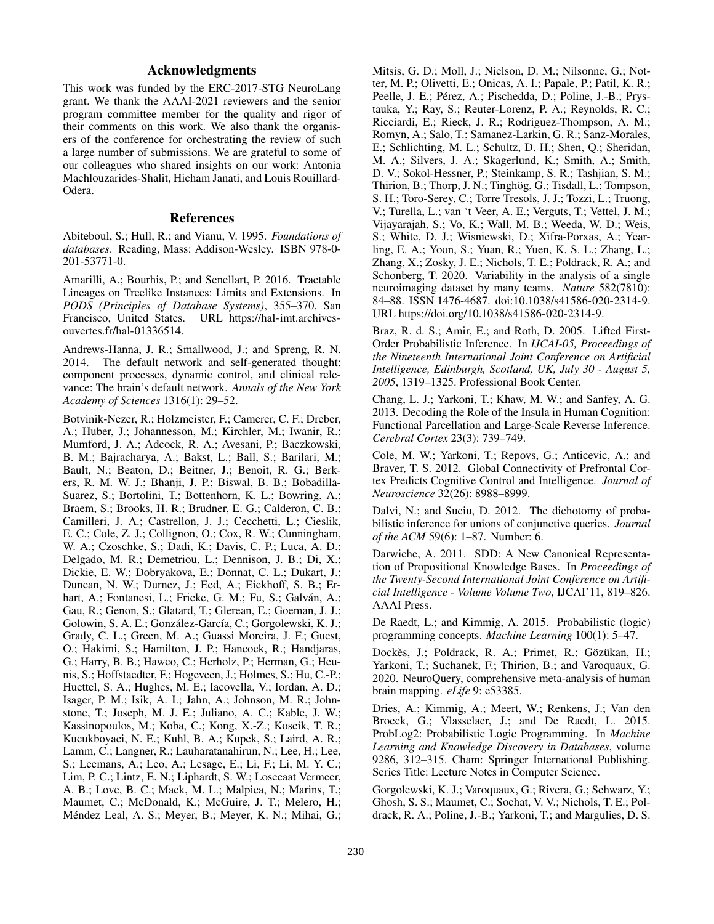# Acknowledgments

This work was funded by the ERC-2017-STG NeuroLang grant. We thank the AAAI-2021 reviewers and the senior program committee member for the quality and rigor of their comments on this work. We also thank the organisers of the conference for orchestrating the review of such a large number of submissions. We are grateful to some of our colleagues who shared insights on our work: Antonia Machlouzarides-Shalit, Hicham Janati, and Louis Rouillard-Odera.

### References

Abiteboul, S.; Hull, R.; and Vianu, V. 1995. *Foundations of databases*. Reading, Mass: Addison-Wesley. ISBN 978-0- 201-53771-0.

Amarilli, A.; Bourhis, P.; and Senellart, P. 2016. Tractable Lineages on Treelike Instances: Limits and Extensions. In *PODS (Principles of Database Systems)*, 355–370. San Francisco, United States. URL https://hal-imt.archivesouvertes.fr/hal-01336514.

Andrews-Hanna, J. R.; Smallwood, J.; and Spreng, R. N. 2014. The default network and self-generated thought: component processes, dynamic control, and clinical relevance: The brain's default network. *Annals of the New York Academy of Sciences* 1316(1): 29–52.

Botvinik-Nezer, R.; Holzmeister, F.; Camerer, C. F.; Dreber, A.; Huber, J.; Johannesson, M.; Kirchler, M.; Iwanir, R.; Mumford, J. A.; Adcock, R. A.; Avesani, P.; Baczkowski, B. M.; Bajracharya, A.; Bakst, L.; Ball, S.; Barilari, M.; Bault, N.; Beaton, D.; Beitner, J.; Benoit, R. G.; Berkers, R. M. W. J.; Bhanji, J. P.; Biswal, B. B.; Bobadilla-Suarez, S.; Bortolini, T.; Bottenhorn, K. L.; Bowring, A.; Braem, S.; Brooks, H. R.; Brudner, E. G.; Calderon, C. B.; Camilleri, J. A.; Castrellon, J. J.; Cecchetti, L.; Cieslik, E. C.; Cole, Z. J.; Collignon, O.; Cox, R. W.; Cunningham, W. A.; Czoschke, S.; Dadi, K.; Davis, C. P.; Luca, A. D.; Delgado, M. R.; Demetriou, L.; Dennison, J. B.; Di, X.; Dickie, E. W.; Dobryakova, E.; Donnat, C. L.; Dukart, J.; Duncan, N. W.; Durnez, J.; Eed, A.; Eickhoff, S. B.; Erhart, A.; Fontanesi, L.; Fricke, G. M.; Fu, S.; Galván, A.; Gau, R.; Genon, S.; Glatard, T.; Glerean, E.; Goeman, J. J.; Golowin, S. A. E.; González-García, C.; Gorgolewski, K. J.; Grady, C. L.; Green, M. A.; Guassi Moreira, J. F.; Guest, O.; Hakimi, S.; Hamilton, J. P.; Hancock, R.; Handjaras, G.; Harry, B. B.; Hawco, C.; Herholz, P.; Herman, G.; Heunis, S.; Hoffstaedter, F.; Hogeveen, J.; Holmes, S.; Hu, C.-P.; Huettel, S. A.; Hughes, M. E.; Iacovella, V.; Iordan, A. D.; Isager, P. M.; Isik, A. I.; Jahn, A.; Johnson, M. R.; Johnstone, T.; Joseph, M. J. E.; Juliano, A. C.; Kable, J. W.; Kassinopoulos, M.; Koba, C.; Kong, X.-Z.; Koscik, T. R.; Kucukboyaci, N. E.; Kuhl, B. A.; Kupek, S.; Laird, A. R.; Lamm, C.; Langner, R.; Lauharatanahirun, N.; Lee, H.; Lee, S.; Leemans, A.; Leo, A.; Lesage, E.; Li, F.; Li, M. Y. C.; Lim, P. C.; Lintz, E. N.; Liphardt, S. W.; Losecaat Vermeer, A. B.; Love, B. C.; Mack, M. L.; Malpica, N.; Marins, T.; Maumet, C.; McDonald, K.; McGuire, J. T.; Melero, H.; Méndez Leal, A. S.; Meyer, B.; Meyer, K. N.; Mihai, G.;

Mitsis, G. D.; Moll, J.; Nielson, D. M.; Nilsonne, G.; Notter, M. P.; Olivetti, E.; Onicas, A. I.; Papale, P.; Patil, K. R.; Peelle, J. E.; Pérez, A.; Pischedda, D.; Poline, J.-B.; Prystauka, Y.; Ray, S.; Reuter-Lorenz, P. A.; Reynolds, R. C.; Ricciardi, E.; Rieck, J. R.; Rodriguez-Thompson, A. M.; Romyn, A.; Salo, T.; Samanez-Larkin, G. R.; Sanz-Morales, E.; Schlichting, M. L.; Schultz, D. H.; Shen, Q.; Sheridan, M. A.; Silvers, J. A.; Skagerlund, K.; Smith, A.; Smith, D. V.; Sokol-Hessner, P.; Steinkamp, S. R.; Tashjian, S. M.; Thirion, B.; Thorp, J. N.; Tinghög, G.; Tisdall, L.; Tompson, S. H.; Toro-Serey, C.; Torre Tresols, J. J.; Tozzi, L.; Truong, V.; Turella, L.; van 't Veer, A. E.; Verguts, T.; Vettel, J. M.; Vijayarajah, S.; Vo, K.; Wall, M. B.; Weeda, W. D.; Weis, S.; White, D. J.; Wisniewski, D.; Xifra-Porxas, A.; Yearling, E. A.; Yoon, S.; Yuan, R.; Yuen, K. S. L.; Zhang, L.; Zhang, X.; Zosky, J. E.; Nichols, T. E.; Poldrack, R. A.; and Schonberg, T. 2020. Variability in the analysis of a single neuroimaging dataset by many teams. *Nature* 582(7810): 84–88. ISSN 1476-4687. doi:10.1038/s41586-020-2314-9. URL https://doi.org/10.1038/s41586-020-2314-9.

Braz, R. d. S.; Amir, E.; and Roth, D. 2005. Lifted First-Order Probabilistic Inference. In *IJCAI-05, Proceedings of the Nineteenth International Joint Conference on Artificial Intelligence, Edinburgh, Scotland, UK, July 30 - August 5, 2005*, 1319–1325. Professional Book Center.

Chang, L. J.; Yarkoni, T.; Khaw, M. W.; and Sanfey, A. G. 2013. Decoding the Role of the Insula in Human Cognition: Functional Parcellation and Large-Scale Reverse Inference. *Cerebral Cortex* 23(3): 739–749.

Cole, M. W.; Yarkoni, T.; Repovs, G.; Anticevic, A.; and Braver, T. S. 2012. Global Connectivity of Prefrontal Cortex Predicts Cognitive Control and Intelligence. *Journal of Neuroscience* 32(26): 8988–8999.

Dalvi, N.; and Suciu, D. 2012. The dichotomy of probabilistic inference for unions of conjunctive queries. *Journal of the ACM* 59(6): 1–87. Number: 6.

Darwiche, A. 2011. SDD: A New Canonical Representation of Propositional Knowledge Bases. In *Proceedings of the Twenty-Second International Joint Conference on Artificial Intelligence - Volume Volume Two*, IJCAI'11, 819–826. AAAI Press.

De Raedt, L.; and Kimmig, A. 2015. Probabilistic (logic) programming concepts. *Machine Learning* 100(1): 5–47.

Dockès, J.; Poldrack, R. A.; Primet, R.; Gözükan, H.; Yarkoni, T.; Suchanek, F.; Thirion, B.; and Varoquaux, G. 2020. NeuroQuery, comprehensive meta-analysis of human brain mapping. *eLife* 9: e53385.

Dries, A.; Kimmig, A.; Meert, W.; Renkens, J.; Van den Broeck, G.; Vlasselaer, J.; and De Raedt, L. 2015. ProbLog2: Probabilistic Logic Programming. In *Machine Learning and Knowledge Discovery in Databases*, volume 9286, 312–315. Cham: Springer International Publishing. Series Title: Lecture Notes in Computer Science.

Gorgolewski, K. J.; Varoquaux, G.; Rivera, G.; Schwarz, Y.; Ghosh, S. S.; Maumet, C.; Sochat, V. V.; Nichols, T. E.; Poldrack, R. A.; Poline, J.-B.; Yarkoni, T.; and Margulies, D. S.